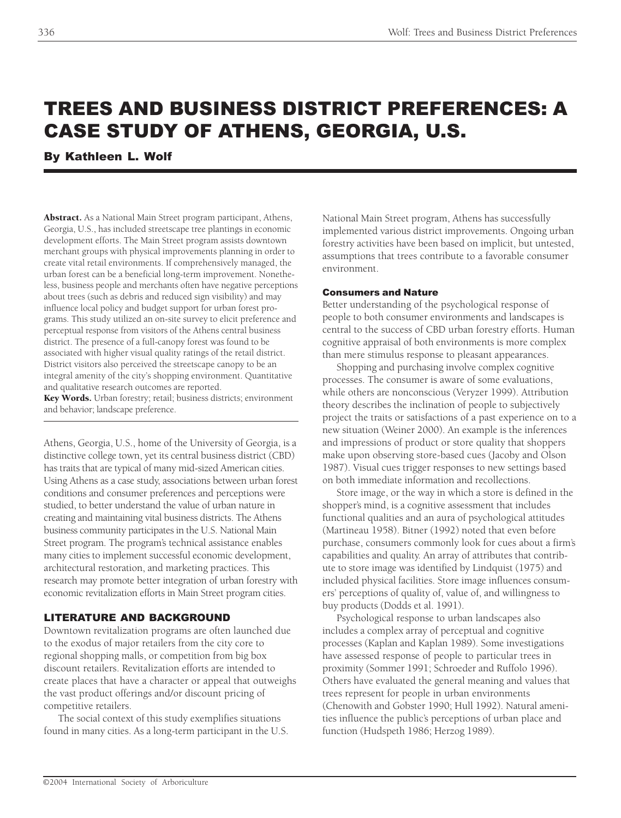# TREES AND BUSINESS DISTRICT PREFERENCES: A CASE STUDY OF ATHENS, GEORGIA, U.S.

By Kathleen L. Wolf

Abstract. As a National Main Street program participant, Athens, Georgia, U.S., has included streetscape tree plantings in economic development efforts. The Main Street program assists downtown merchant groups with physical improvements planning in order to create vital retail environments. If comprehensively managed, the urban forest can be a beneficial long-term improvement. Nonetheless, business people and merchants often have negative perceptions about trees (such as debris and reduced sign visibility) and may influence local policy and budget support for urban forest programs. This study utilized an on-site survey to elicit preference and perceptual response from visitors of the Athens central business district. The presence of a full-canopy forest was found to be associated with higher visual quality ratings of the retail district. District visitors also perceived the streetscape canopy to be an integral amenity of the city's shopping environment. Quantitative and qualitative research outcomes are reported.

Key Words. Urban forestry; retail; business districts; environment and behavior; landscape preference.

Athens, Georgia, U.S., home of the University of Georgia, is a distinctive college town, yet its central business district (CBD) has traits that are typical of many mid-sized American cities. Using Athens as a case study, associations between urban forest conditions and consumer preferences and perceptions were studied, to better understand the value of urban nature in creating and maintaining vital business districts. The Athens business community participates in the U.S. National Main Street program. The program's technical assistance enables many cities to implement successful economic development, architectural restoration, and marketing practices. This research may promote better integration of urban forestry with economic revitalization efforts in Main Street program cities.

## LITERATURE AND BACKGROUND

Downtown revitalization programs are often launched due to the exodus of major retailers from the city core to regional shopping malls, or competition from big box discount retailers. Revitalization efforts are intended to create places that have a character or appeal that outweighs the vast product offerings and/or discount pricing of competitive retailers.

The social context of this study exemplifies situations found in many cities. As a long-term participant in the U.S.

National Main Street program, Athens has successfully implemented various district improvements. Ongoing urban forestry activities have been based on implicit, but untested, assumptions that trees contribute to a favorable consumer environment.

## Consumers and Nature

Better understanding of the psychological response of people to both consumer environments and landscapes is central to the success of CBD urban forestry efforts. Human cognitive appraisal of both environments is more complex than mere stimulus response to pleasant appearances.

Shopping and purchasing involve complex cognitive processes. The consumer is aware of some evaluations, while others are nonconscious (Veryzer 1999). Attribution theory describes the inclination of people to subjectively project the traits or satisfactions of a past experience on to a new situation (Weiner 2000). An example is the inferences and impressions of product or store quality that shoppers make upon observing store-based cues (Jacoby and Olson 1987). Visual cues trigger responses to new settings based on both immediate information and recollections.

Store image, or the way in which a store is defined in the shopper's mind, is a cognitive assessment that includes functional qualities and an aura of psychological attitudes (Martineau 1958). Bitner (1992) noted that even before purchase, consumers commonly look for cues about a firm's capabilities and quality. An array of attributes that contribute to store image was identified by Lindquist (1975) and included physical facilities. Store image influences consumers' perceptions of quality of, value of, and willingness to buy products (Dodds et al. 1991).

Psychological response to urban landscapes also includes a complex array of perceptual and cognitive processes (Kaplan and Kaplan 1989). Some investigations have assessed response of people to particular trees in proximity (Sommer 1991; Schroeder and Ruffolo 1996). Others have evaluated the general meaning and values that trees represent for people in urban environments (Chenowith and Gobster 1990; Hull 1992). Natural amenities influence the public's perceptions of urban place and function (Hudspeth 1986; Herzog 1989).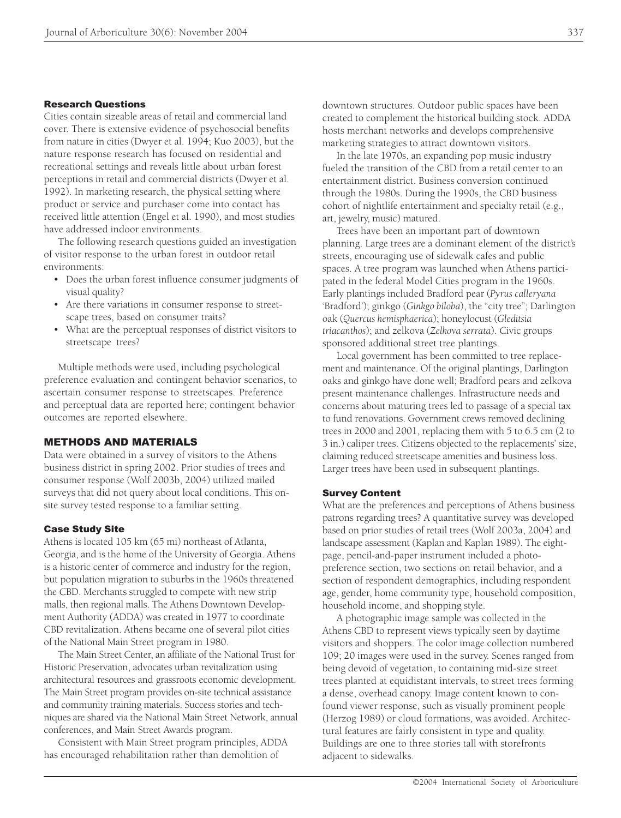## Research Questions

Cities contain sizeable areas of retail and commercial land cover. There is extensive evidence of psychosocial benefits from nature in cities (Dwyer et al. 1994; Kuo 2003), but the nature response research has focused on residential and recreational settings and reveals little about urban forest perceptions in retail and commercial districts (Dwyer et al. 1992). In marketing research, the physical setting where product or service and purchaser come into contact has received little attention (Engel et al. 1990), and most studies have addressed indoor environments.

The following research questions guided an investigation of visitor response to the urban forest in outdoor retail environments:

- Does the urban forest influence consumer judgments of visual quality?
- Are there variations in consumer response to streetscape trees, based on consumer traits?
- What are the perceptual responses of district visitors to streetscape trees?

Multiple methods were used, including psychological preference evaluation and contingent behavior scenarios, to ascertain consumer response to streetscapes. Preference and perceptual data are reported here; contingent behavior outcomes are reported elsewhere.

## METHODS AND MATERIALS

Data were obtained in a survey of visitors to the Athens business district in spring 2002. Prior studies of trees and consumer response (Wolf 2003b, 2004) utilized mailed surveys that did not query about local conditions. This onsite survey tested response to a familiar setting.

## Case Study Site

Athens is located 105 km (65 mi) northeast of Atlanta, Georgia, and is the home of the University of Georgia. Athens is a historic center of commerce and industry for the region, but population migration to suburbs in the 1960s threatened the CBD. Merchants struggled to compete with new strip malls, then regional malls. The Athens Downtown Development Authority (ADDA) was created in 1977 to coordinate CBD revitalization. Athens became one of several pilot cities of the National Main Street program in 1980.

The Main Street Center, an affiliate of the National Trust for Historic Preservation, advocates urban revitalization using architectural resources and grassroots economic development. The Main Street program provides on-site technical assistance and community training materials. Success stories and techniques are shared via the National Main Street Network, annual conferences, and Main Street Awards program.

Consistent with Main Street program principles, ADDA has encouraged rehabilitation rather than demolition of

downtown structures. Outdoor public spaces have been created to complement the historical building stock. ADDA hosts merchant networks and develops comprehensive marketing strategies to attract downtown visitors.

In the late 1970s, an expanding pop music industry fueled the transition of the CBD from a retail center to an entertainment district. Business conversion continued through the 1980s. During the 1990s, the CBD business cohort of nightlife entertainment and specialty retail (e.g., art, jewelry, music) matured.

Trees have been an important part of downtown planning. Large trees are a dominant element of the district's streets, encouraging use of sidewalk cafes and public spaces. A tree program was launched when Athens participated in the federal Model Cities program in the 1960s. Early plantings included Bradford pear (*Pyrus calleryana* 'Bradford'); ginkgo (*Ginkgo biloba*), the "city tree"; Darlington oak (*Quercus hemisphaerica*); honeylocust (*Gleditsia triacanthos*); and zelkova (*Zelkova serrata*). Civic groups sponsored additional street tree plantings.

Local government has been committed to tree replacement and maintenance. Of the original plantings, Darlington oaks and ginkgo have done well; Bradford pears and zelkova present maintenance challenges. Infrastructure needs and concerns about maturing trees led to passage of a special tax to fund renovations. Government crews removed declining trees in 2000 and 2001, replacing them with 5 to 6.5 cm (2 to 3 in.) caliper trees. Citizens objected to the replacements' size, claiming reduced streetscape amenities and business loss. Larger trees have been used in subsequent plantings.

#### Survey Content

What are the preferences and perceptions of Athens business patrons regarding trees? A quantitative survey was developed based on prior studies of retail trees (Wolf 2003a, 2004) and landscape assessment (Kaplan and Kaplan 1989). The eightpage, pencil-and-paper instrument included a photopreference section, two sections on retail behavior, and a section of respondent demographics, including respondent age, gender, home community type, household composition, household income, and shopping style.

A photographic image sample was collected in the Athens CBD to represent views typically seen by daytime visitors and shoppers. The color image collection numbered 109; 20 images were used in the survey. Scenes ranged from being devoid of vegetation, to containing mid-size street trees planted at equidistant intervals, to street trees forming a dense, overhead canopy. Image content known to confound viewer response, such as visually prominent people (Herzog 1989) or cloud formations, was avoided. Architectural features are fairly consistent in type and quality. Buildings are one to three stories tall with storefronts adjacent to sidewalks.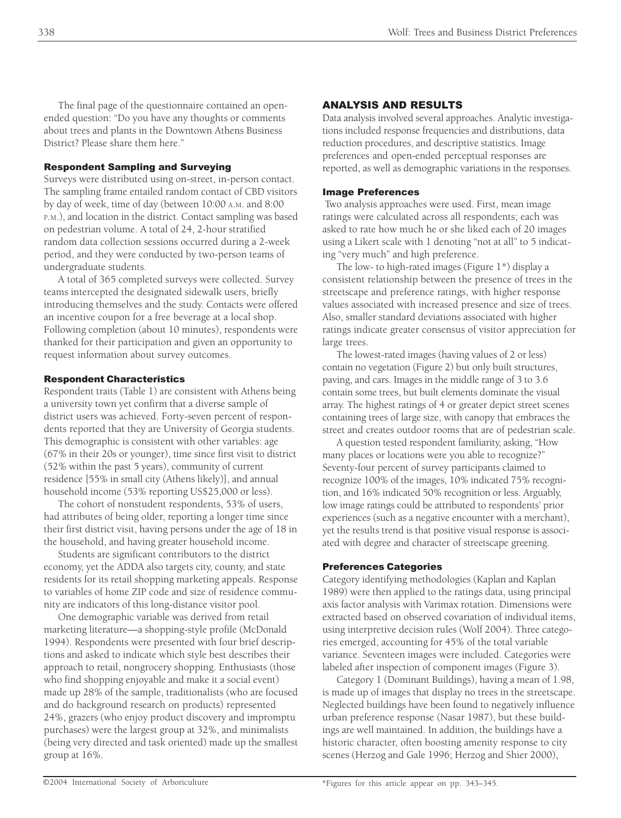The final page of the questionnaire contained an openended question: "Do you have any thoughts or comments about trees and plants in the Downtown Athens Business District? Please share them here."

# Respondent Sampling and Surveying

Surveys were distributed using on-street, in-person contact. The sampling frame entailed random contact of CBD visitors by day of week, time of day (between 10:00 A.M. and 8:00 P.M.), and location in the district. Contact sampling was based on pedestrian volume. A total of 24, 2-hour stratified random data collection sessions occurred during a 2-week period, and they were conducted by two-person teams of undergraduate students.

A total of 365 completed surveys were collected. Survey teams intercepted the designated sidewalk users, briefly introducing themselves and the study. Contacts were offered an incentive coupon for a free beverage at a local shop. Following completion (about 10 minutes), respondents were thanked for their participation and given an opportunity to request information about survey outcomes.

## Respondent Characteristics

Respondent traits (Table 1) are consistent with Athens being a university town yet confirm that a diverse sample of district users was achieved. Forty-seven percent of respondents reported that they are University of Georgia students. This demographic is consistent with other variables: age (67% in their 20s or younger), time since first visit to district (52% within the past 5 years), community of current residence [55% in small city (Athens likely)], and annual household income (53% reporting US\$25,000 or less).

The cohort of nonstudent respondents, 53% of users, had attributes of being older, reporting a longer time since their first district visit, having persons under the age of 18 in the household, and having greater household income.

Students are significant contributors to the district economy, yet the ADDA also targets city, county, and state residents for its retail shopping marketing appeals. Response to variables of home ZIP code and size of residence community are indicators of this long-distance visitor pool.

One demographic variable was derived from retail marketing literature—a shopping-style profile (McDonald 1994). Respondents were presented with four brief descriptions and asked to indicate which style best describes their approach to retail, nongrocery shopping. Enthusiasts (those who find shopping enjoyable and make it a social event) made up 28% of the sample, traditionalists (who are focused and do background research on products) represented 24%, grazers (who enjoy product discovery and impromptu purchases) were the largest group at 32%, and minimalists (being very directed and task oriented) made up the smallest group at 16%.

# ANALYSIS AND RESULTS

Data analysis involved several approaches. Analytic investigations included response frequencies and distributions, data reduction procedures, and descriptive statistics. Image preferences and open-ended perceptual responses are reported, as well as demographic variations in the responses.

## Image Preferences

 Two analysis approaches were used. First, mean image ratings were calculated across all respondents; each was asked to rate how much he or she liked each of 20 images using a Likert scale with 1 denoting "not at all" to 5 indicating "very much" and high preference.

The low- to high-rated images (Figure 1\*) display a consistent relationship between the presence of trees in the streetscape and preference ratings, with higher response values associated with increased presence and size of trees. Also, smaller standard deviations associated with higher ratings indicate greater consensus of visitor appreciation for large trees.

The lowest-rated images (having values of 2 or less) contain no vegetation (Figure 2) but only built structures, paving, and cars. Images in the middle range of 3 to 3.6 contain some trees, but built elements dominate the visual array. The highest ratings of 4 or greater depict street scenes containing trees of large size, with canopy that embraces the street and creates outdoor rooms that are of pedestrian scale.

A question tested respondent familiarity, asking, "How many places or locations were you able to recognize?" Seventy-four percent of survey participants claimed to recognize 100% of the images, 10% indicated 75% recognition, and 16% indicated 50% recognition or less. Arguably, low image ratings could be attributed to respondents' prior experiences (such as a negative encounter with a merchant), yet the results trend is that positive visual response is associated with degree and character of streetscape greening.

## Preferences Categories

Category identifying methodologies (Kaplan and Kaplan 1989) were then applied to the ratings data, using principal axis factor analysis with Varimax rotation. Dimensions were extracted based on observed covariation of individual items, using interpretive decision rules (Wolf 2004). Three categories emerged, accounting for 45% of the total variable variance. Seventeen images were included. Categories were labeled after inspection of component images (Figure 3).

Category 1 (Dominant Buildings), having a mean of 1.98, is made up of images that display no trees in the streetscape. Neglected buildings have been found to negatively influence urban preference response (Nasar 1987), but these buildings are well maintained. In addition, the buildings have a historic character, often boosting amenity response to city scenes (Herzog and Gale 1996; Herzog and Shier 2000),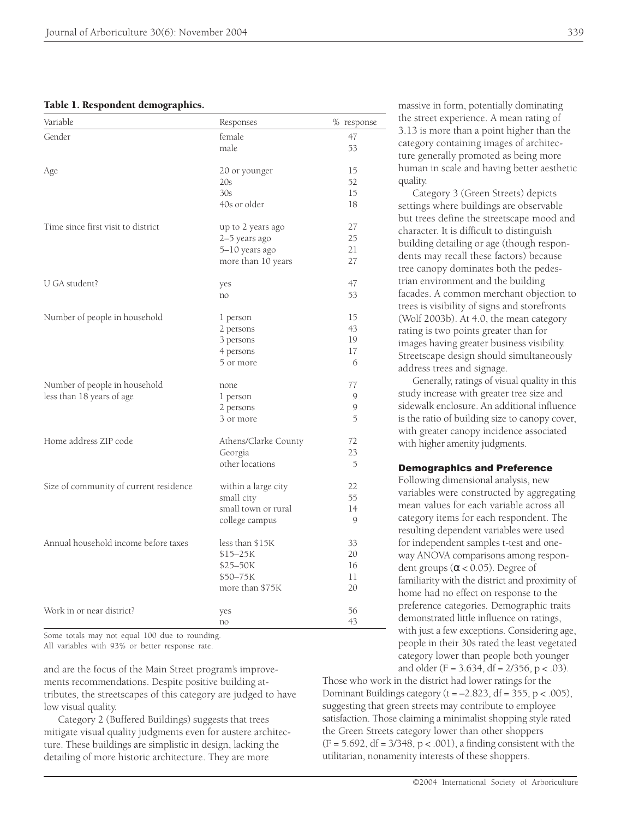#### Table 1. Respondent demographics.

| Variable                               | Responses            | % response |
|----------------------------------------|----------------------|------------|
| Gender                                 | female               | 47         |
|                                        | male                 | 53         |
| Age                                    | 20 or younger        | 15         |
|                                        | 20s                  | 52         |
|                                        | 30s                  | 15         |
|                                        | 40s or older         | 18         |
| Time since first visit to district     | up to 2 years ago    | 27         |
|                                        | 2-5 years ago        | 25         |
|                                        | 5-10 years ago       | 21         |
|                                        | more than 10 years   | 27         |
| U GA student?                          | yes                  | 47         |
|                                        | no                   | 53         |
| Number of people in household          | 1 person             | 15         |
|                                        | 2 persons            | 43         |
|                                        | 3 persons            | 19         |
|                                        | 4 persons            | 17         |
|                                        | 5 or more            | 6          |
| Number of people in household          | none                 | 77         |
| less than 18 years of age              | 1 person             | 9          |
|                                        | 2 persons            | 9          |
|                                        | 3 or more            | 5          |
| Home address ZIP code                  | Athens/Clarke County | 72         |
|                                        | Georgia              | 23         |
|                                        | other locations      | 5          |
| Size of community of current residence | within a large city  | 22         |
|                                        | small city           | 55         |
|                                        | small town or rural  | 14         |
|                                        | college campus       | 9          |
| Annual household income before taxes   | less than \$15K      | 33         |
|                                        | $$15 - 25K$          | 20         |
|                                        | \$25-50K             | 16         |
|                                        | \$50-75K             | 11         |
|                                        | more than \$75K      | 20         |
| Work in or near district?              | yes                  | 56         |
|                                        | no                   | 43         |

Some totals may not equal 100 due to rounding. All variables with 93% or better response rate.

and are the focus of the Main Street program's improvements recommendations. Despite positive building attributes, the streetscapes of this category are judged to have low visual quality.

Category 2 (Buffered Buildings) suggests that trees mitigate visual quality judgments even for austere architecture. These buildings are simplistic in design, lacking the detailing of more historic architecture. They are more

massive in form, potentially dominating the street experience. A mean rating of 3.13 is more than a point higher than the category containing images of architecture generally promoted as being more human in scale and having better aesthetic quality.

Category 3 (Green Streets) depicts settings where buildings are observable but trees define the streetscape mood and character. It is difficult to distinguish building detailing or age (though respondents may recall these factors) because tree canopy dominates both the pedestrian environment and the building facades. A common merchant objection to trees is visibility of signs and storefronts (Wolf 2003b). At 4.0, the mean category rating is two points greater than for images having greater business visibility. Streetscape design should simultaneously address trees and signage.

Generally, ratings of visual quality in this study increase with greater tree size and sidewalk enclosure. An additional influence is the ratio of building size to canopy cover, with greater canopy incidence associated with higher amenity judgments.

#### Demographics and Preference

Following dimensional analysis, new variables were constructed by aggregating mean values for each variable across all category items for each respondent. The resulting dependent variables were used for independent samples t-test and oneway ANOVA comparisons among respondent groups ( $\alpha$  < 0.05). Degree of familiarity with the district and proximity of home had no effect on response to the preference categories. Demographic traits demonstrated little influence on ratings, with just a few exceptions. Considering age, people in their 30s rated the least vegetated category lower than people both younger and older  $(F = 3.634, df = 2/356, p < .03)$ .

Those who work in the district had lower ratings for the Dominant Buildings category ( $t = -2.823$ , df = 355, p < .005), suggesting that green streets may contribute to employee satisfaction. Those claiming a minimalist shopping style rated the Green Streets category lower than other shoppers  $(F = 5.692, df = 3/348, p < .001)$ , a finding consistent with the utilitarian, nonamenity interests of these shoppers.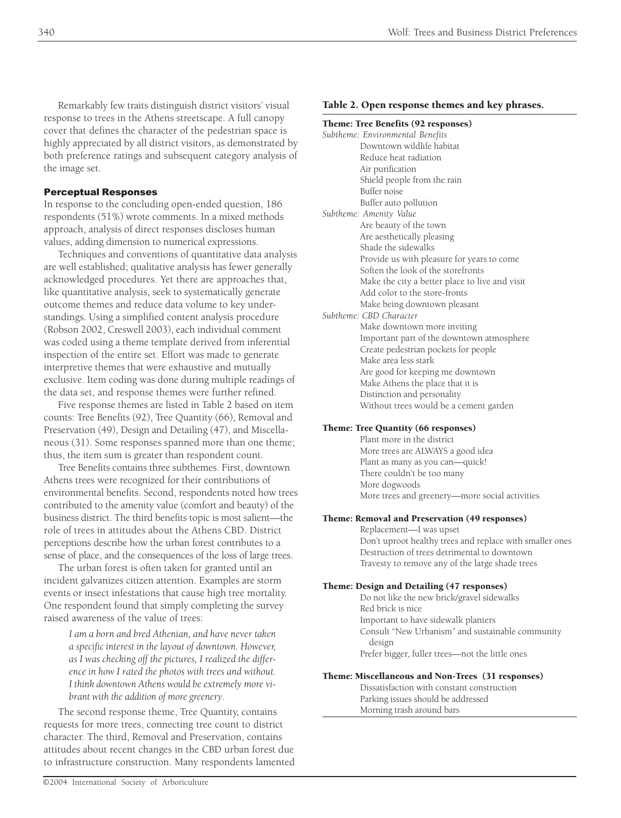Remarkably few traits distinguish district visitors' visual response to trees in the Athens streetscape. A full canopy cover that defines the character of the pedestrian space is highly appreciated by all district visitors, as demonstrated by both preference ratings and subsequent category analysis of the image set.

# Perceptual Responses

In response to the concluding open-ended question, 186 respondents (51%) wrote comments. In a mixed methods approach, analysis of direct responses discloses human values, adding dimension to numerical expressions.

Techniques and conventions of quantitative data analysis are well established; qualitative analysis has fewer generally acknowledged procedures. Yet there are approaches that, like quantitative analysis, seek to systematically generate outcome themes and reduce data volume to key understandings. Using a simplified content analysis procedure (Robson 2002, Creswell 2003), each individual comment was coded using a theme template derived from inferential inspection of the entire set. Effort was made to generate interpretive themes that were exhaustive and mutually exclusive. Item coding was done during multiple readings of the data set, and response themes were further refined.

Five response themes are listed in Table 2 based on item counts: Tree Benefits (92), Tree Quantity (66), Removal and Preservation (49), Design and Detailing (47), and Miscellaneous (31). Some responses spanned more than one theme; thus, the item sum is greater than respondent count.

Tree Benefits contains three subthemes. First, downtown Athens trees were recognized for their contributions of environmental benefits. Second, respondents noted how trees contributed to the amenity value (comfort and beauty) of the business district. The third benefits topic is most salient—the role of trees in attitudes about the Athens CBD. District perceptions describe how the urban forest contributes to a sense of place, and the consequences of the loss of large trees.

The urban forest is often taken for granted until an incident galvanizes citizen attention. Examples are storm events or insect infestations that cause high tree mortality. One respondent found that simply completing the survey raised awareness of the value of trees:

> *I am a born and bred Athenian, and have never taken a specific interest in the layout of downtown. However, as I was checking off the pictures, I realized the difference in how I rated the photos with trees and without. I think downtown Athens would be extremely more vibrant with the addition of more greenery*.

The second response theme, Tree Quantity, contains requests for more trees, connecting tree count to district character. The third, Removal and Preservation, contains attitudes about recent changes in the CBD urban forest due to infrastructure construction. Many respondents lamented

# Table 2. Open response themes and key phrases.

#### Theme: Tree Benefits (92 responses)

| Subtheme: Environmental Benefits               |
|------------------------------------------------|
| Downtown wildlife habitat                      |
| Reduce heat radiation                          |
| Air purification                               |
| Shield people from the rain                    |
| Buffer noise                                   |
| Buffer auto pollution                          |
| Subtheme: Amenity Value                        |
| Are beauty of the town                         |
| Are aesthetically pleasing                     |
| Shade the sidewalks                            |
| Provide us with pleasure for years to come     |
| Soften the look of the storefronts             |
| Make the city a better place to live and visit |
| Add color to the store-fronts                  |
| Make being downtown pleasant                   |
| Subtheme: CBD Character                        |
| Make downtown more inviting                    |
| Important part of the downtown atmosphere      |
| Create pedestrian pockets for people           |
| Make area less stark                           |
| Are good for keeping me downtown               |
| Make Athens the place that it is               |
| Distinction and personality                    |
| Without trees would be a cement garden         |

## Theme: Tree Quantity (66 responses)

Plant more in the district More trees are ALWAYS a good idea Plant as many as you can—quick! There couldn't be too many More dogwoods More trees and greenery—more social activities

## Theme: Removal and Preservation (49 responses)

Replacement—I was upset Don't uproot healthy trees and replace with smaller ones Destruction of trees detrimental to downtown Travesty to remove any of the large shade trees

## Theme: Design and Detailing (47 responses)

Do not like the new brick/gravel sidewalks Red brick is nice Important to have sidewalk planters Consult "New Urbanism" and sustainable community design Prefer bigger, fuller trees—not the little ones

## Theme: Miscellaneous and Non-Trees (31 responses)

Dissatisfaction with constant construction Parking issues should be addressed Morning trash around bars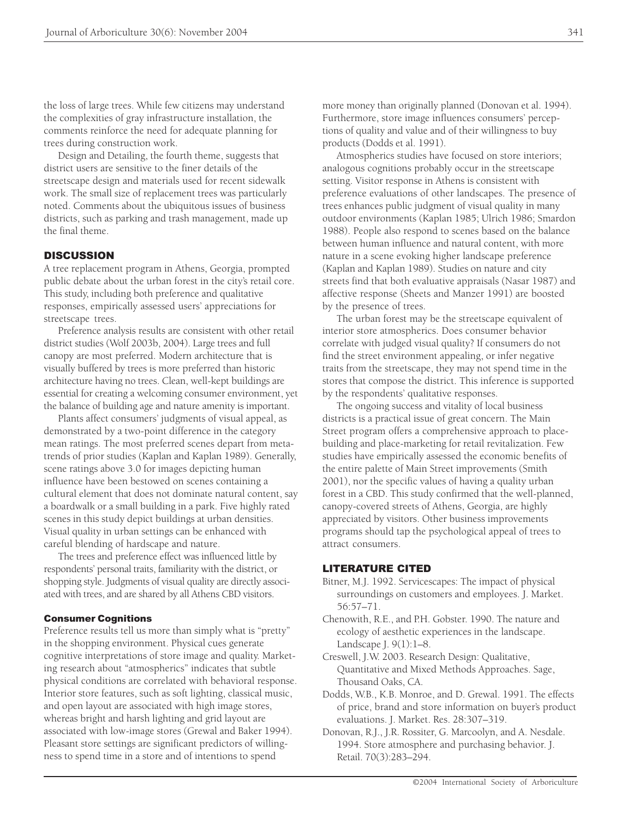the loss of large trees. While few citizens may understand the complexities of gray infrastructure installation, the comments reinforce the need for adequate planning for trees during construction work.

Design and Detailing, the fourth theme, suggests that district users are sensitive to the finer details of the streetscape design and materials used for recent sidewalk work. The small size of replacement trees was particularly noted. Comments about the ubiquitous issues of business districts, such as parking and trash management, made up the final theme.

## **DISCUSSION**

A tree replacement program in Athens, Georgia, prompted public debate about the urban forest in the city's retail core. This study, including both preference and qualitative responses, empirically assessed users' appreciations for streetscape trees.

Preference analysis results are consistent with other retail district studies (Wolf 2003b, 2004). Large trees and full canopy are most preferred. Modern architecture that is visually buffered by trees is more preferred than historic architecture having no trees. Clean, well-kept buildings are essential for creating a welcoming consumer environment, yet the balance of building age and nature amenity is important.

Plants affect consumers' judgments of visual appeal, as demonstrated by a two-point difference in the category mean ratings. The most preferred scenes depart from metatrends of prior studies (Kaplan and Kaplan 1989). Generally, scene ratings above 3.0 for images depicting human influence have been bestowed on scenes containing a cultural element that does not dominate natural content, say a boardwalk or a small building in a park. Five highly rated scenes in this study depict buildings at urban densities. Visual quality in urban settings can be enhanced with careful blending of hardscape and nature.

The trees and preference effect was influenced little by respondents' personal traits, familiarity with the district, or shopping style. Judgments of visual quality are directly associated with trees, and are shared by all Athens CBD visitors.

#### Consumer Cognitions

Preference results tell us more than simply what is "pretty" in the shopping environment. Physical cues generate cognitive interpretations of store image and quality. Marketing research about "atmospherics" indicates that subtle physical conditions are correlated with behavioral response. Interior store features, such as soft lighting, classical music, and open layout are associated with high image stores, whereas bright and harsh lighting and grid layout are associated with low-image stores (Grewal and Baker 1994). Pleasant store settings are significant predictors of willingness to spend time in a store and of intentions to spend

more money than originally planned (Donovan et al. 1994). Furthermore, store image influences consumers' perceptions of quality and value and of their willingness to buy products (Dodds et al. 1991).

Atmospherics studies have focused on store interiors; analogous cognitions probably occur in the streetscape setting. Visitor response in Athens is consistent with preference evaluations of other landscapes. The presence of trees enhances public judgment of visual quality in many outdoor environments (Kaplan 1985; Ulrich 1986; Smardon 1988). People also respond to scenes based on the balance between human influence and natural content, with more nature in a scene evoking higher landscape preference (Kaplan and Kaplan 1989). Studies on nature and city streets find that both evaluative appraisals (Nasar 1987) and affective response (Sheets and Manzer 1991) are boosted by the presence of trees.

The urban forest may be the streetscape equivalent of interior store atmospherics. Does consumer behavior correlate with judged visual quality? If consumers do not find the street environment appealing, or infer negative traits from the streetscape, they may not spend time in the stores that compose the district. This inference is supported by the respondents' qualitative responses.

The ongoing success and vitality of local business districts is a practical issue of great concern. The Main Street program offers a comprehensive approach to placebuilding and place-marketing for retail revitalization. Few studies have empirically assessed the economic benefits of the entire palette of Main Street improvements (Smith 2001), nor the specific values of having a quality urban forest in a CBD. This study confirmed that the well-planned, canopy-covered streets of Athens, Georgia, are highly appreciated by visitors. Other business improvements programs should tap the psychological appeal of trees to attract consumers.

## LITERATURE CITED

- Bitner, M.J. 1992. Servicescapes: The impact of physical surroundings on customers and employees. J. Market. 56:57–71.
- Chenowith, R.E., and P.H. Gobster. 1990. The nature and ecology of aesthetic experiences in the landscape. Landscape J. 9(1):1–8.
- Creswell, J.W. 2003. Research Design: Qualitative, Quantitative and Mixed Methods Approaches. Sage, Thousand Oaks, CA.
- Dodds, W.B., K.B. Monroe, and D. Grewal. 1991. The effects of price, brand and store information on buyer's product evaluations. J. Market. Res. 28:307–319.
- Donovan, R.J., J.R. Rossiter, G. Marcoolyn, and A. Nesdale. 1994. Store atmosphere and purchasing behavior. J. Retail. 70(3):283–294.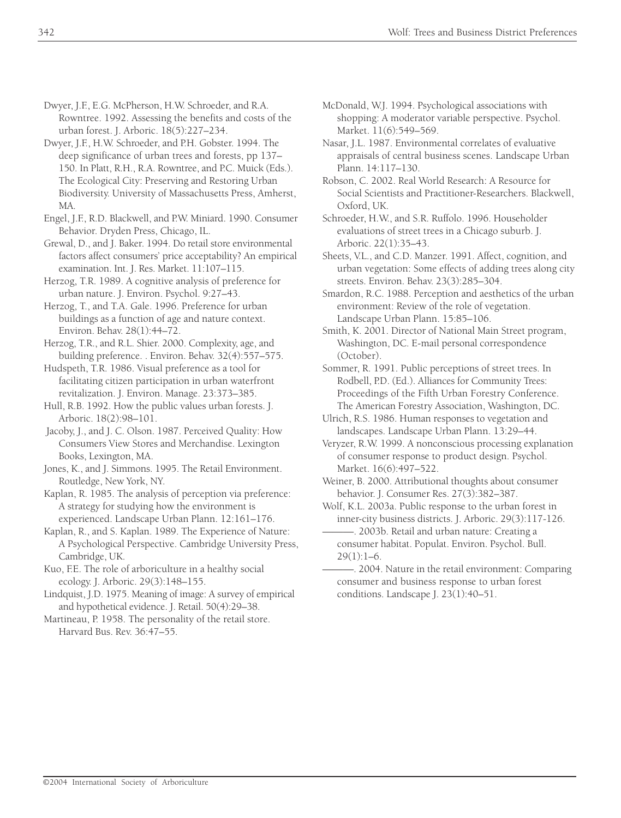- Dwyer, J.F., E.G. McPherson, H.W. Schroeder, and R.A. Rowntree. 1992. Assessing the benefits and costs of the urban forest. J. Arboric. 18(5):227–234.
- Dwyer, J.F., H.W. Schroeder, and P.H. Gobster. 1994. The deep significance of urban trees and forests, pp 137– 150. In Platt, R.H., R.A. Rowntree, and P.C. Muick (Eds.). The Ecological City: Preserving and Restoring Urban Biodiversity. University of Massachusetts Press, Amherst, MA.
- Engel, J.F., R.D. Blackwell, and P.W. Miniard. 1990. Consumer Behavior. Dryden Press, Chicago, IL.
- Grewal, D., and J. Baker. 1994. Do retail store environmental factors affect consumers' price acceptability? An empirical examination. Int. J. Res. Market. 11:107–115.
- Herzog, T.R. 1989. A cognitive analysis of preference for urban nature. J. Environ. Psychol. 9:27–43.
- Herzog, T., and T.A. Gale. 1996. Preference for urban buildings as a function of age and nature context. Environ. Behav. 28(1):44–72.
- Herzog, T.R., and R.L. Shier. 2000. Complexity, age, and building preference. . Environ. Behav. 32(4):557–575.
- Hudspeth, T.R. 1986. Visual preference as a tool for facilitating citizen participation in urban waterfront revitalization. J. Environ. Manage. 23:373–385.
- Hull, R.B. 1992. How the public values urban forests. J. Arboric. 18(2):98–101.
- Jacoby, J., and J. C. Olson. 1987. Perceived Quality: How Consumers View Stores and Merchandise. Lexington Books, Lexington, MA.
- Jones, K., and J. Simmons. 1995. The Retail Environment. Routledge, New York, NY.
- Kaplan, R. 1985. The analysis of perception via preference: A strategy for studying how the environment is experienced. Landscape Urban Plann. 12:161–176.
- Kaplan, R., and S. Kaplan. 1989. The Experience of Nature: A Psychological Perspective. Cambridge University Press, Cambridge, UK.
- Kuo, F.E. The role of arboriculture in a healthy social ecology. J. Arboric. 29(3):148–155.
- Lindquist, J.D. 1975. Meaning of image: A survey of empirical and hypothetical evidence. J. Retail. 50(4):29–38.
- Martineau, P. 1958. The personality of the retail store. Harvard Bus. Rev. 36:47–55.
- McDonald, W.J. 1994. Psychological associations with shopping: A moderator variable perspective. Psychol. Market. 11(6):549–569.
- Nasar, J.L. 1987. Environmental correlates of evaluative appraisals of central business scenes. Landscape Urban Plann. 14:117–130.
- Robson, C. 2002. Real World Research: A Resource for Social Scientists and Practitioner-Researchers. Blackwell, Oxford, UK.
- Schroeder, H.W., and S.R. Ruffolo. 1996. Householder evaluations of street trees in a Chicago suburb. J. Arboric. 22(1):35–43.
- Sheets, V.L., and C.D. Manzer. 1991. Affect, cognition, and urban vegetation: Some effects of adding trees along city streets. Environ. Behav. 23(3):285–304.
- Smardon, R.C. 1988. Perception and aesthetics of the urban environment: Review of the role of vegetation. Landscape Urban Plann. 15:85–106.
- Smith, K. 2001. Director of National Main Street program, Washington, DC. E-mail personal correspondence (October).
- Sommer, R. 1991. Public perceptions of street trees. In Rodbell, P.D. (Ed.). Alliances for Community Trees: Proceedings of the Fifth Urban Forestry Conference. The American Forestry Association, Washington, DC.
- Ulrich, R.S. 1986. Human responses to vegetation and landscapes. Landscape Urban Plann. 13:29–44.
- Veryzer, R.W. 1999. A nonconscious processing explanation of consumer response to product design. Psychol. Market. 16(6):497–522.
- Weiner, B. 2000. Attributional thoughts about consumer behavior. J. Consumer Res. 27(3):382–387.
- Wolf, K.L. 2003a. Public response to the urban forest in inner-city business districts. J. Arboric. 29(3):117-126.
- ———. 2003b. Retail and urban nature: Creating a consumer habitat. Populat. Environ. Psychol. Bull.  $29(1):1-6.$
- ———. 2004. Nature in the retail environment: Comparing consumer and business response to urban forest conditions. Landscape J. 23(1):40–51.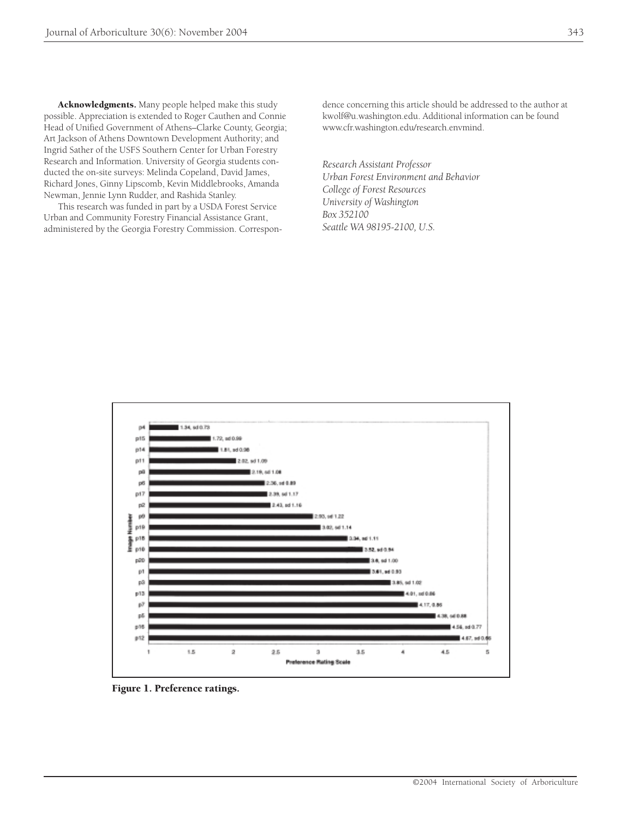possible. Appreciation is extended to Roger Cauthen and Connie Head of Unified Government of Athens–Clarke County, Georgia; Art Jackson of Athens Downtown Development Authority; and Ingrid Sather of the USFS Southern Center for Urban Forestry Research and Information. University of Georgia students conducted the on-site surveys: Melinda Copeland, David James, Richard Jones, Ginny Lipscomb, Kevin Middlebrooks, Amanda Newman, Jennie Lynn Rudder, and Rashida Stanley.

This research was funded in part by a USDA Forest Service Urban and Community Forestry Financial Assistance Grant, administered by the Georgia Forestry Commission. Correspondence concerning this article should be addressed to the author at kwolf@u.washington.edu. Additional information can be found www.cfr.washington.edu/research.envmind.

*Research Assistant Professor Urban Forest Environment and Behavior College of Forest Resources University of Washington Box 352100 Seattle WA 98195-2100, U.S.*



Figure 1. Preference ratings.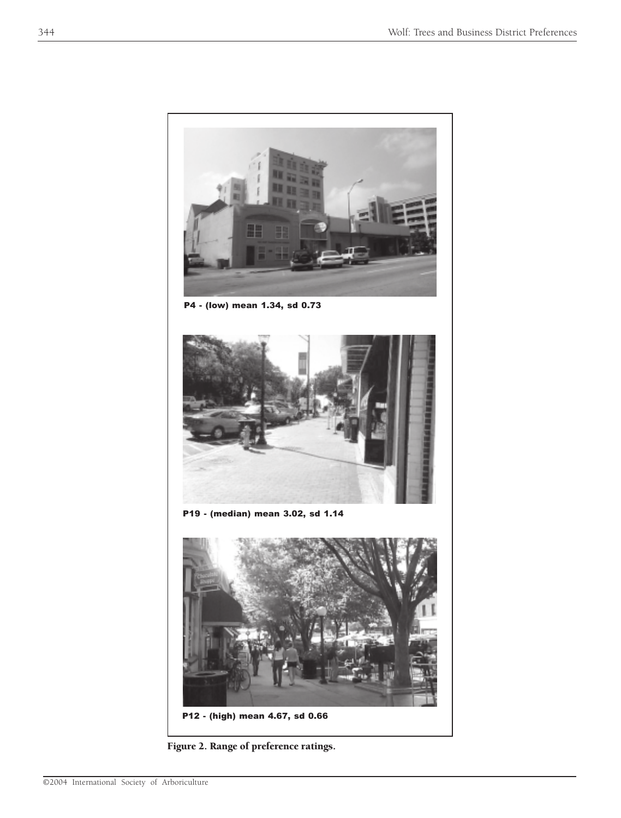

P4 - (low) mean 1.34, sd 0.73



P19 - (median) mean 3.02, sd 1.14



Figure 2. Range of preference ratings.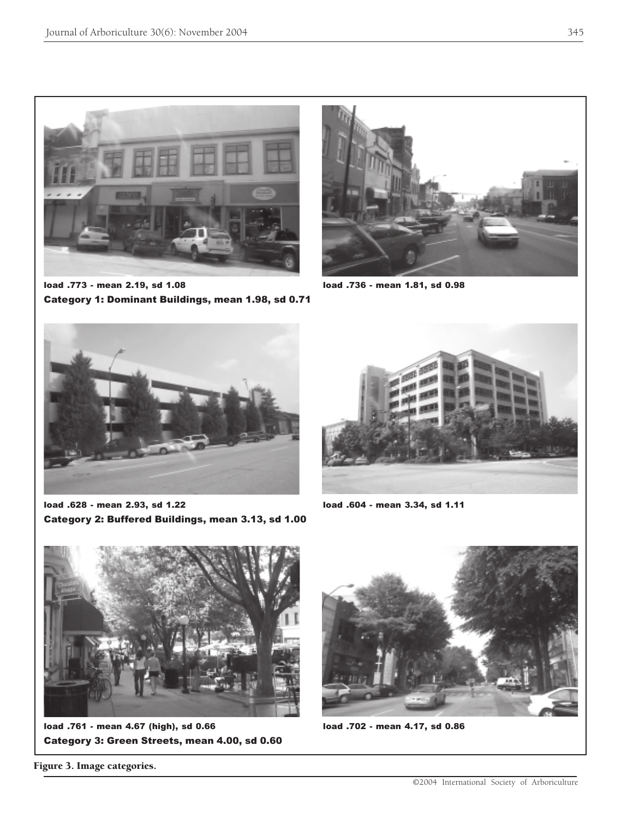

load .773 - mean 2.19, sd 1.08 load .736 - mean 1.81, sd 0.98 Category 1: Dominant Buildings, mean 1.98, sd 0.71





load .628 - mean 2.93, sd 1.22 load .604 - mean 3.34, sd 1.11 Category 2: Buffered Buildings, mean 3.13, sd 1.00





load .761 - mean 4.67 (high), sd 0.66 load .702 - mean 4.17, sd 0.86 Category 3: Green Streets, mean 4.00, sd 0.60